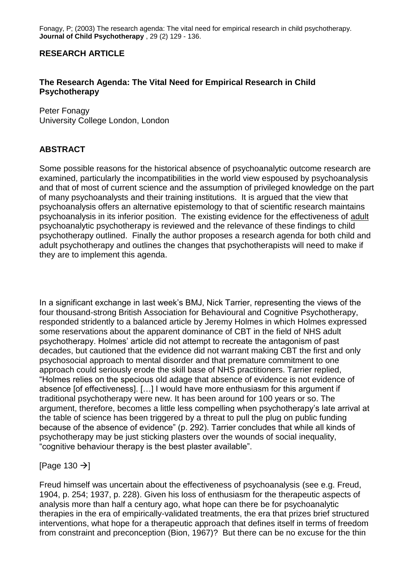Fonagy, P; (2003) The research agenda: The vital need for empirical research in child psychotherapy. **Journal of Child Psychotherapy** , 29 (2) 129 - 136.

#### **RESEARCH ARTICLE**

### **The Research Agenda: The Vital Need for Empirical Research in Child Psychotherapy**

Peter Fonagy University College London, London

# **ABSTRACT**

Some possible reasons for the historical absence of psychoanalytic outcome research are examined, particularly the incompatibilities in the world view espoused by psychoanalysis and that of most of current science and the assumption of privileged knowledge on the part of many psychoanalysts and their training institutions. It is argued that the view that psychoanalysis offers an alternative epistemology to that of scientific research maintains psychoanalysis in its inferior position. The existing evidence for the effectiveness of adult psychoanalytic psychotherapy is reviewed and the relevance of these findings to child psychotherapy outlined. Finally the author proposes a research agenda for both child and adult psychotherapy and outlines the changes that psychotherapists will need to make if they are to implement this agenda.

In a significant exchange in last week's BMJ, Nick Tarrier, representing the views of the four thousand-strong British Association for Behavioural and Cognitive Psychotherapy, responded stridently to a balanced article by Jeremy Holmes in which Holmes expressed some reservations about the apparent dominance of CBT in the field of NHS adult psychotherapy. Holmes' article did not attempt to recreate the antagonism of past decades, but cautioned that the evidence did not warrant making CBT the first and only psychosocial approach to mental disorder and that premature commitment to one approach could seriously erode the skill base of NHS practitioners. Tarrier replied, "Holmes relies on the specious old adage that absence of evidence is not evidence of absence [of effectiveness]. […] I would have more enthusiasm for this argument if traditional psychotherapy were new. It has been around for 100 years or so. The argument, therefore, becomes a little less compelling when psychotherapy's late arrival at the table of science has been triggered by a threat to pull the plug on public funding because of the absence of evidence" (p. 292). Tarrier concludes that while all kinds of psychotherapy may be just sticking plasters over the wounds of social inequality, "cognitive behaviour therapy is the best plaster available".

#### [Page 130  $\rightarrow$ ]

Freud himself was uncertain about the effectiveness of psychoanalysis (see e.g. Freud, 1904, p. 254; 1937, p. 228). Given his loss of enthusiasm for the therapeutic aspects of analysis more than half a century ago, what hope can there be for psychoanalytic therapies in the era of empirically-validated treatments, the era that prizes brief structured interventions, what hope for a therapeutic approach that defines itself in terms of freedom from constraint and preconception (Bion, 1967)? But there can be no excuse for the thin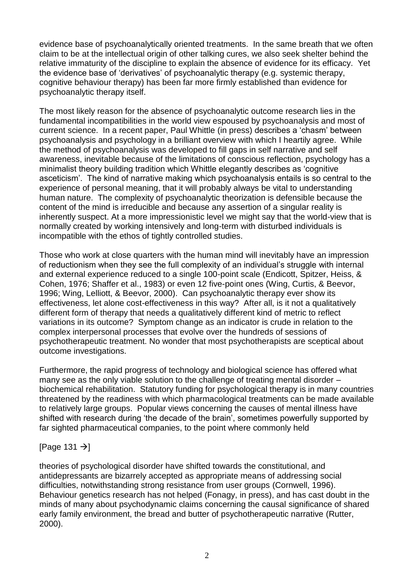evidence base of psychoanalytically oriented treatments. In the same breath that we often claim to be at the intellectual origin of other talking cures, we also seek shelter behind the relative immaturity of the discipline to explain the absence of evidence for its efficacy. Yet the evidence base of 'derivatives' of psychoanalytic therapy (e.g. systemic therapy, cognitive behaviour therapy) has been far more firmly established than evidence for psychoanalytic therapy itself.

The most likely reason for the absence of psychoanalytic outcome research lies in the fundamental incompatibilities in the world view espoused by psychoanalysis and most of current science. In a recent paper, Paul Whittle (in press) describes a 'chasm' between psychoanalysis and psychology in a brilliant overview with which I heartily agree. While the method of psychoanalysis was developed to fill gaps in self narrative and self awareness, inevitable because of the limitations of conscious reflection, psychology has a minimalist theory building tradition which Whittle elegantly describes as 'cognitive asceticism'. The kind of narrative making which psychoanalysis entails is so central to the experience of personal meaning, that it will probably always be vital to understanding human nature. The complexity of psychoanalytic theorization is defensible because the content of the mind is irreducible and because any assertion of a singular reality is inherently suspect. At a more impressionistic level we might say that the world-view that is normally created by working intensively and long-term with disturbed individuals is incompatible with the ethos of tightly controlled studies.

Those who work at close quarters with the human mind will inevitably have an impression of reductionism when they see the full complexity of an individual's struggle with internal and external experience reduced to a single 100-point scale (Endicott, Spitzer, Heiss, & Cohen, 1976; Shaffer et al., 1983) or even 12 five-point ones (Wing, Curtis, & Beevor, 1996; Wing, Lelliott, & Beevor, 2000). Can psychoanalytic therapy ever show its effectiveness, let alone cost-effectiveness in this way? After all, is it not a qualitatively different form of therapy that needs a qualitatively different kind of metric to reflect variations in its outcome? Symptom change as an indicator is crude in relation to the complex interpersonal processes that evolve over the hundreds of sessions of psychotherapeutic treatment. No wonder that most psychotherapists are sceptical about outcome investigations.

Furthermore, the rapid progress of technology and biological science has offered what many see as the only viable solution to the challenge of treating mental disorder – biochemical rehabilitation. Statutory funding for psychological therapy is in many countries threatened by the readiness with which pharmacological treatments can be made available to relatively large groups. Popular views concerning the causes of mental illness have shifted with research during 'the decade of the brain', sometimes powerfully supported by far sighted pharmaceutical companies, to the point where commonly held

# [Page 131  $\rightarrow$ ]

theories of psychological disorder have shifted towards the constitutional, and antidepressants are bizarrely accepted as appropriate means of addressing social difficulties, notwithstanding strong resistance from user groups (Cornwell, 1996). Behaviour genetics research has not helped (Fonagy, in press), and has cast doubt in the minds of many about psychodynamic claims concerning the causal significance of shared early family environment, the bread and butter of psychotherapeutic narrative (Rutter, 2000).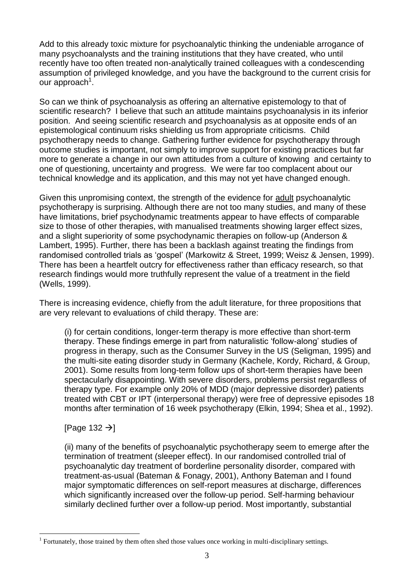Add to this already toxic mixture for psychoanalytic thinking the undeniable arrogance of many psychoanalysts and the training institutions that they have created, who until recently have too often treated non-analytically trained colleagues with a condescending assumption of privileged knowledge, and you have the background to the current crisis for our approach<sup>1</sup>.

So can we think of psychoanalysis as offering an alternative epistemology to that of scientific research? I believe that such an attitude maintains psychoanalysis in its inferior position. And seeing scientific research and psychoanalysis as at opposite ends of an epistemological continuum risks shielding us from appropriate criticisms. Child psychotherapy needs to change. Gathering further evidence for psychotherapy through outcome studies is important, not simply to improve support for existing practices but far more to generate a change in our own attitudes from a culture of knowing and certainty to one of questioning, uncertainty and progress. We were far too complacent about our technical knowledge and its application, and this may not yet have changed enough.

Given this unpromising context, the strength of the evidence for adult psychoanalytic psychotherapy is surprising. Although there are not too many studies, and many of these have limitations, brief psychodynamic treatments appear to have effects of comparable size to those of other therapies, with manualised treatments showing larger effect sizes, and a slight superiority of some psychodynamic therapies on follow-up (Anderson & Lambert, 1995). Further, there has been a backlash against treating the findings from randomised controlled trials as 'gospel' (Markowitz & Street, 1999; Weisz & Jensen, 1999). There has been a heartfelt outcry for effectiveness rather than efficacy research, so that research findings would more truthfully represent the value of a treatment in the field (Wells, 1999).

There is increasing evidence, chiefly from the adult literature, for three propositions that are very relevant to evaluations of child therapy. These are:

(i) for certain conditions, longer-term therapy is more effective than short-term therapy. These findings emerge in part from naturalistic 'follow-along' studies of progress in therapy, such as the Consumer Survey in the US (Seligman, 1995) and the multi-site eating disorder study in Germany (Kachele, Kordy, Richard, & Group, 2001). Some results from long-term follow ups of short-term therapies have been spectacularly disappointing. With severe disorders, problems persist regardless of therapy type. For example only 20% of MDD (major depressive disorder) patients treated with CBT or IPT (interpersonal therapy) were free of depressive episodes 18 months after termination of 16 week psychotherapy (Elkin, 1994; Shea et al., 1992).

[Page 132  $\rightarrow$ ]

1

(ii) many of the benefits of psychoanalytic psychotherapy seem to emerge after the termination of treatment (sleeper effect). In our randomised controlled trial of psychoanalytic day treatment of borderline personality disorder, compared with treatment-as-usual (Bateman & Fonagy, 2001), Anthony Bateman and I found major symptomatic differences on self-report measures at discharge, differences which significantly increased over the follow-up period. Self-harming behaviour similarly declined further over a follow-up period. Most importantly, substantial

 $1$  Fortunately, those trained by them often shed those values once working in multi-disciplinary settings.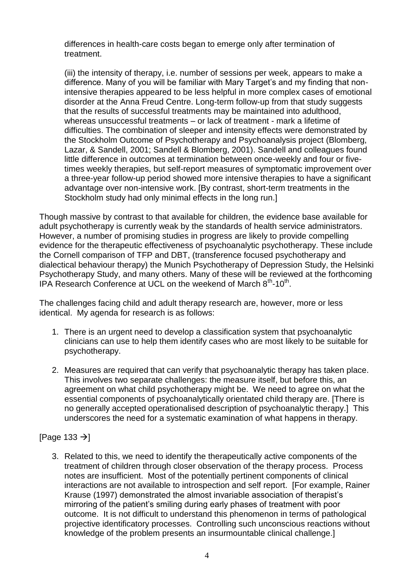differences in health-care costs began to emerge only after termination of treatment.

(iii) the intensity of therapy, i.e. number of sessions per week, appears to make a difference. Many of you will be familiar with Mary Target's and my finding that nonintensive therapies appeared to be less helpful in more complex cases of emotional disorder at the Anna Freud Centre. Long-term follow-up from that study suggests that the results of successful treatments may be maintained into adulthood, whereas unsuccessful treatments – or lack of treatment - mark a lifetime of difficulties. The combination of sleeper and intensity effects were demonstrated by the Stockholm Outcome of Psychotherapy and Psychoanalysis project (Blomberg, Lazar, & Sandell, 2001; Sandell & Blomberg, 2001). Sandell and colleagues found little difference in outcomes at termination between once-weekly and four or fivetimes weekly therapies, but self-report measures of symptomatic improvement over a three-year follow-up period showed more intensive therapies to have a significant advantage over non-intensive work. [By contrast, short-term treatments in the Stockholm study had only minimal effects in the long run.]

Though massive by contrast to that available for children, the evidence base available for adult psychotherapy is currently weak by the standards of health service administrators. However, a number of promising studies in progress are likely to provide compelling evidence for the therapeutic effectiveness of psychoanalytic psychotherapy. These include the Cornell comparison of TFP and DBT, (transference focused psychotherapy and dialectical behaviour therapy) the Munich Psychotherapy of Depression Study, the Helsinki Psychotherapy Study, and many others. Many of these will be reviewed at the forthcoming IPA Research Conference at UCL on the weekend of March 8<sup>th</sup>-10<sup>th</sup>.

The challenges facing child and adult therapy research are, however, more or less identical. My agenda for research is as follows:

- 1. There is an urgent need to develop a classification system that psychoanalytic clinicians can use to help them identify cases who are most likely to be suitable for psychotherapy.
- 2. Measures are required that can verify that psychoanalytic therapy has taken place. This involves two separate challenges: the measure itself, but before this, an agreement on what child psychotherapy might be. We need to agree on what the essential components of psychoanalytically orientated child therapy are. [There is no generally accepted operationalised description of psychoanalytic therapy.] This underscores the need for a systematic examination of what happens in therapy.

# [Page 133  $\rightarrow$ ]

3. Related to this, we need to identify the therapeutically active components of the treatment of children through closer observation of the therapy process. Process notes are insufficient. Most of the potentially pertinent components of clinical interactions are not available to introspection and self report. [For example, Rainer Krause (1997) demonstrated the almost invariable association of therapist's mirroring of the patient's smiling during early phases of treatment with poor outcome. It is not difficult to understand this phenomenon in terms of pathological projective identificatory processes. Controlling such unconscious reactions without knowledge of the problem presents an insurmountable clinical challenge.]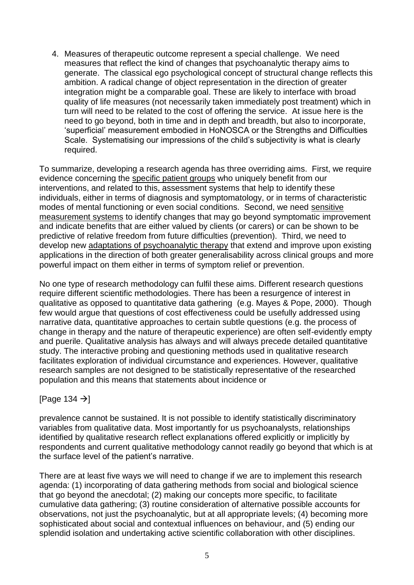4. Measures of therapeutic outcome represent a special challenge. We need measures that reflect the kind of changes that psychoanalytic therapy aims to generate. The classical ego psychological concept of structural change reflects this ambition. A radical change of object representation in the direction of greater integration might be a comparable goal. These are likely to interface with broad quality of life measures (not necessarily taken immediately post treatment) which in turn will need to be related to the cost of offering the service. At issue here is the need to go beyond, both in time and in depth and breadth, but also to incorporate, 'superficial' measurement embodied in HoNOSCA or the Strengths and Difficulties Scale. Systematising our impressions of the child's subjectivity is what is clearly required.

To summarize, developing a research agenda has three overriding aims. First, we require evidence concerning the specific patient groups who uniquely benefit from our interventions, and related to this, assessment systems that help to identify these individuals, either in terms of diagnosis and symptomatology, or in terms of characteristic modes of mental functioning or even social conditions. Second, we need sensitive measurement systems to identify changes that may go beyond symptomatic improvement and indicate benefits that are either valued by clients (or carers) or can be shown to be predictive of relative freedom from future difficulties (prevention). Third, we need to develop new adaptations of psychoanalytic therapy that extend and improve upon existing applications in the direction of both greater generalisability across clinical groups and more powerful impact on them either in terms of symptom relief or prevention.

No one type of research methodology can fulfil these aims. Different research questions require different scientific methodologies. There has been a resurgence of interest in qualitative as opposed to quantitative data gathering (e.g. Mayes & Pope, 2000). Though few would argue that questions of cost effectiveness could be usefully addressed using narrative data, quantitative approaches to certain subtle questions (e.g. the process of change in therapy and the nature of therapeutic experience) are often self-evidently empty and puerile. Qualitative analysis has always and will always precede detailed quantitative study. The interactive probing and questioning methods used in qualitative research facilitates exploration of individual circumstance and experiences. However, qualitative research samples are not designed to be statistically representative of the researched population and this means that statements about incidence or

# [Page 134  $\rightarrow$ ]

prevalence cannot be sustained. It is not possible to identify statistically discriminatory variables from qualitative data. Most importantly for us psychoanalysts, relationships identified by qualitative research reflect explanations offered explicitly or implicitly by respondents and current qualitative methodology cannot readily go beyond that which is at the surface level of the patient's narrative.

There are at least five ways we will need to change if we are to implement this research agenda: (1) incorporating of data gathering methods from social and biological science that go beyond the anecdotal; (2) making our concepts more specific, to facilitate cumulative data gathering; (3) routine consideration of alternative possible accounts for observations, not just the psychoanalytic, but at all appropriate levels; (4) becoming more sophisticated about social and contextual influences on behaviour, and (5) ending our splendid isolation and undertaking active scientific collaboration with other disciplines.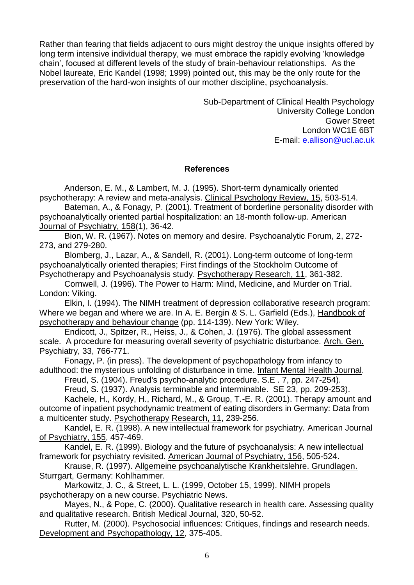Rather than fearing that fields adiacent to ours might destroy the unique insights offered by long term intensive individual therapy, we must embrace the rapidly evolving 'knowledge chain', focused at different levels of the study of brain-behaviour relationships. As the Nobel laureate, Eric Kandel (1998; 1999) pointed out, this may be the only route for the preservation of the hard-won insights of our mother discipline, psychoanalysis.

> Sub-Department of Clinical Health Psychology University College London Gower Street London WC1E 6BT E-mail: [e.allison@ucl.ac.uk](mailto:e.allison@ucl.ac.uk)

#### **References**

Anderson, E. M., & Lambert, M. J. (1995). Short-term dynamically oriented psychotherapy: A review and meta-analysis. Clinical Psychology Review, 15, 503-514.

Bateman, A., & Fonagy, P. (2001). Treatment of borderline personality disorder with psychoanalytically oriented partial hospitalization: an 18-month follow-up. American Journal of Psychiatry, 158(1), 36-42.

Bion, W. R. (1967). Notes on memory and desire. Psychoanalytic Forum, 2, 272- 273, and 279-280.

Blomberg, J., Lazar, A., & Sandell, R. (2001). Long-term outcome of long-term psychoanalytically oriented therapies; First findings of the Stockholm Outcome of Psychotherapy and Psychoanalysis study. Psychotherapy Research, 11, 361-382.

Cornwell, J. (1996). The Power to Harm: Mind, Medicine, and Murder on Trial. London: Viking.

Elkin, I. (1994). The NIMH treatment of depression collaborative research program: Where we began and where we are. In A. E. Bergin & S. L. Garfield (Eds.), Handbook of psychotherapy and behaviour change (pp. 114-139). New York: Wiley.

Endicott, J., Spitzer, R., Heiss, J., & Cohen, J. (1976). The global assessment scale. A procedure for measuring overall severity of psychiatric disturbance. Arch. Gen. Psychiatry, 33, 766-771.

Fonagy, P. (in press). The development of psychopathology from infancy to adulthood: the mysterious unfolding of disturbance in time. Infant Mental Health Journal.

Freud, S. (1904). Freud's psycho-analytic procedure. S.E . 7, pp. 247-254).

Freud, S. (1937). Analysis terminable and interminable. SE 23, pp. 209-253).

Kachele, H., Kordy, H., Richard, M., & Group, T.-E. R. (2001). Therapy amount and outcome of inpatient psychodynamic treatment of eating disorders in Germany: Data from a multicenter study. Psychotherapy Research, 11, 239-256.

Kandel, E. R. (1998). A new intellectual framework for psychiatry. American Journal of Psychiatry, 155, 457-469.

Kandel, E. R. (1999). Biology and the future of psychoanalysis: A new intellectual framework for psychiatry revisited. American Journal of Psychiatry, 156, 505-524.

Krause, R. (1997). Allgemeine psychoanalytische Krankheitslehre. Grundlagen. Sturrgart, Germany: Kohlhammer.

Markowitz, J. C., & Street, L. L. (1999, October 15, 1999). NIMH propels psychotherapy on a new course. Psychiatric News.

Mayes, N., & Pope, C. (2000). Qualitative research in health care. Assessing quality and qualitative research. British Medical Journal, 320, 50-52.

Rutter, M. (2000). Psychosocial influences: Critiques, findings and research needs. Development and Psychopathology, 12, 375-405.